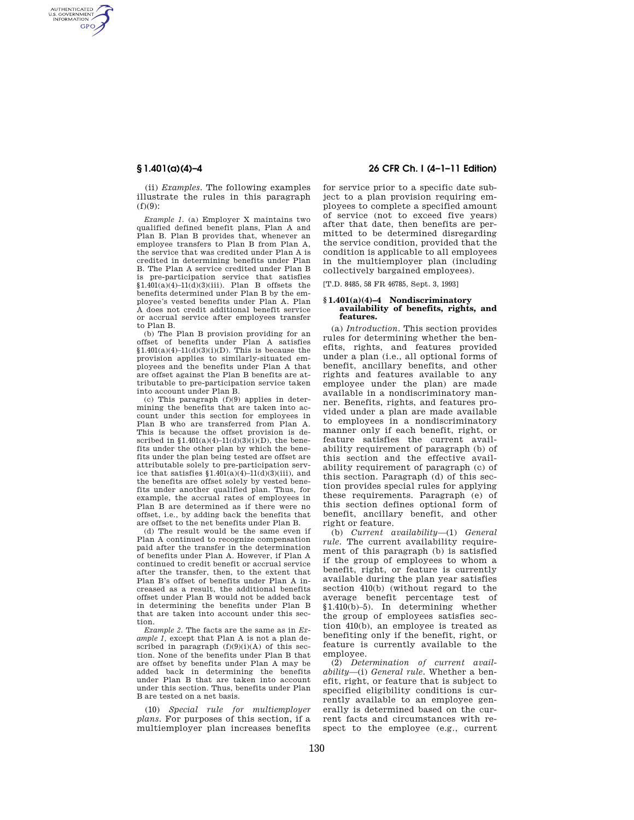AUTHENTICATED<br>U.S. GOVERNMENT<br>INFORMATION **GPO** 

> (ii) *Examples.* The following examples illustrate the rules in this paragraph  $(f)(9)$ :

> *Example 1.* (a) Employer X maintains two qualified defined benefit plans, Plan A and Plan B. Plan B provides that, whenever an employee transfers to Plan B from Plan A, the service that was credited under Plan A is credited in determining benefits under Plan B. The Plan A service credited under Plan B is pre-participation service that satisfies  $$1.401(a)(4)-11(d)(3)(iii)$ . Plan B offsets the benefits determined under Plan B by the employee's vested benefits under Plan A. Plan A does not credit additional benefit service or accrual service after employees transfer to Plan B.

> (b) The Plan B provision providing for an offset of benefits under Plan A satisfies  $$1.401(a)(4)-11(d)(3)(i)(D)$ . This is because the provision applies to similarly-situated employees and the benefits under Plan A that are offset against the Plan B benefits are attributable to pre-participation service taken into account under Plan B.

> (c) This paragraph (f)(9) applies in determining the benefits that are taken into account under this section for employees in Plan B who are transferred from Plan A. This is because the offset provision is described in  $$1.401(a)(4)-11(d)(3)(i)(D)$ , the benefits under the other plan by which the benefits under the plan being tested are offset are attributable solely to pre-participation service that satisfies  $$1.401(a)(4)-11(d)(3)(iii)$ , and the benefits are offset solely by vested benefits under another qualified plan. Thus, for example, the accrual rates of employees in Plan B are determined as if there were no offset, i.e., by adding back the benefits that are offset to the net benefits under Plan B.

> (d) The result would be the same even if Plan A continued to recognize compensation paid after the transfer in the determination of benefits under Plan A. However, if Plan A continued to credit benefit or accrual service after the transfer, then, to the extent that Plan B's offset of benefits under Plan A increased as a result, the additional benefits offset under Plan B would not be added back in determining the benefits under Plan B that are taken into account under this section.

> *Example 2.* The facts are the same as in *Example 1,* except that Plan A is not a plan described in paragraph  $(f)(9)(i)(A)$  of this section. None of the benefits under Plan B that are offset by benefits under Plan A may be added back in determining the benefits under Plan B that are taken into account under this section. Thus, benefits under Plan B are tested on a net basis.

> (10) *Special rule for multiemployer plans.* For purposes of this section, if a multiemployer plan increases benefits

## **§ 1.401(a)(4)–4 26 CFR Ch. I (4–1–11 Edition)**

for service prior to a specific date subject to a plan provision requiring employees to complete a specified amount of service (not to exceed five years) after that date, then benefits are permitted to be determined disregarding the service condition, provided that the condition is applicable to all employees in the multiemployer plan (including collectively bargained employees).

[T.D. 8485, 58 FR 46785, Sept. 3, 1993]

### **§ 1.401(a)(4)–4 Nondiscriminatory availability of benefits, rights, and features.**

(a) *Introduction.* This section provides rules for determining whether the benefits, rights, and features provided under a plan (i.e., all optional forms of benefit, ancillary benefits, and other rights and features available to any employee under the plan) are made available in a nondiscriminatory manner. Benefits, rights, and features provided under a plan are made available to employees in a nondiscriminatory manner only if each benefit, right, or feature satisfies the current availability requirement of paragraph (b) of this section and the effective availability requirement of paragraph (c) of this section. Paragraph (d) of this section provides special rules for applying these requirements. Paragraph (e) of this section defines optional form of benefit, ancillary benefit, and other right or feature.

(b) *Current availability*—(1) *General rule.* The current availability requirement of this paragraph (b) is satisfied if the group of employees to whom a benefit, right, or feature is currently available during the plan year satisfies section 410(b) (without regard to the average benefit percentage test of §1.410(b)–5). In determining whether the group of employees satisfies section 410(b), an employee is treated as benefiting only if the benefit, right, or feature is currently available to the employee.

(2) *Determination of current availability*—(i) *General rule.* Whether a benefit, right, or feature that is subject to specified eligibility conditions is currently available to an employee generally is determined based on the current facts and circumstances with respect to the employee (e.g., current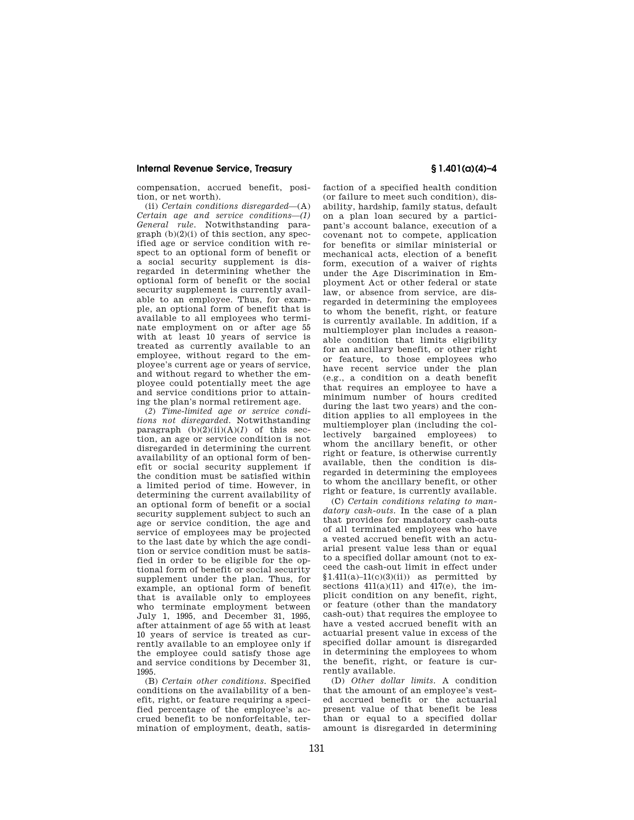compensation, accrued benefit, position, or net worth).

(ii) *Certain conditions disregarded*—(A) *Certain age and service conditions—(1) General rule.* Notwithstanding para $graph (b)(2)(i)$  of this section, any specified age or service condition with respect to an optional form of benefit or a social security supplement is disregarded in determining whether the optional form of benefit or the social security supplement is currently available to an employee. Thus, for example, an optional form of benefit that is available to all employees who terminate employment on or after age 55 with at least 10 years of service is treated as currently available to an employee, without regard to the employee's current age or years of service, and without regard to whether the employee could potentially meet the age and service conditions prior to attaining the plan's normal retirement age.

(*2*) *Time-limited age or service conditions not disregarded.* Notwithstanding paragraph  $(b)(2)(ii)(A)(1)$  of this section, an age or service condition is not disregarded in determining the current availability of an optional form of benefit or social security supplement if the condition must be satisfied within a limited period of time. However, in determining the current availability of an optional form of benefit or a social security supplement subject to such an age or service condition, the age and service of employees may be projected to the last date by which the age condition or service condition must be satisfied in order to be eligible for the optional form of benefit or social security supplement under the plan. Thus, for example, an optional form of benefit that is available only to employees who terminate employment between July 1, 1995, and December 31, 1995, after attainment of age 55 with at least 10 years of service is treated as currently available to an employee only if the employee could satisfy those age and service conditions by December 31, 1995.

(B) *Certain other conditions.* Specified conditions on the availability of a benefit, right, or feature requiring a specified percentage of the employee's accrued benefit to be nonforfeitable, termination of employment, death, satis-

faction of a specified health condition (or failure to meet such condition), disability, hardship, family status, default on a plan loan secured by a participant's account balance, execution of a covenant not to compete, application for benefits or similar ministerial or mechanical acts, election of a benefit form, execution of a waiver of rights under the Age Discrimination in Employment Act or other federal or state law, or absence from service, are disregarded in determining the employees to whom the benefit, right, or feature is currently available. In addition, if a multiemployer plan includes a reasonable condition that limits eligibility for an ancillary benefit, or other right or feature, to those employees who have recent service under the plan (e.g., a condition on a death benefit that requires an employee to have a minimum number of hours credited during the last two years) and the condition applies to all employees in the multiemployer plan (including the collectively bargained employees) to whom the ancillary benefit, or other right or feature, is otherwise currently available, then the condition is disregarded in determining the employees to whom the ancillary benefit, or other right or feature, is currently available.

(C) *Certain conditions relating to mandatory cash-outs.* In the case of a plan that provides for mandatory cash-outs of all terminated employees who have a vested accrued benefit with an actuarial present value less than or equal to a specified dollar amount (not to exceed the cash-out limit in effect under  $$1.411(a)-11(c)(3)(ii)$  as permitted by sections  $411(a)(11)$  and  $417(e)$ , the implicit condition on any benefit, right, or feature (other than the mandatory cash-out) that requires the employee to have a vested accrued benefit with an actuarial present value in excess of the specified dollar amount is disregarded in determining the employees to whom the benefit, right, or feature is currently available.

(D) *Other dollar limits.* A condition that the amount of an employee's vested accrued benefit or the actuarial present value of that benefit be less than or equal to a specified dollar amount is disregarded in determining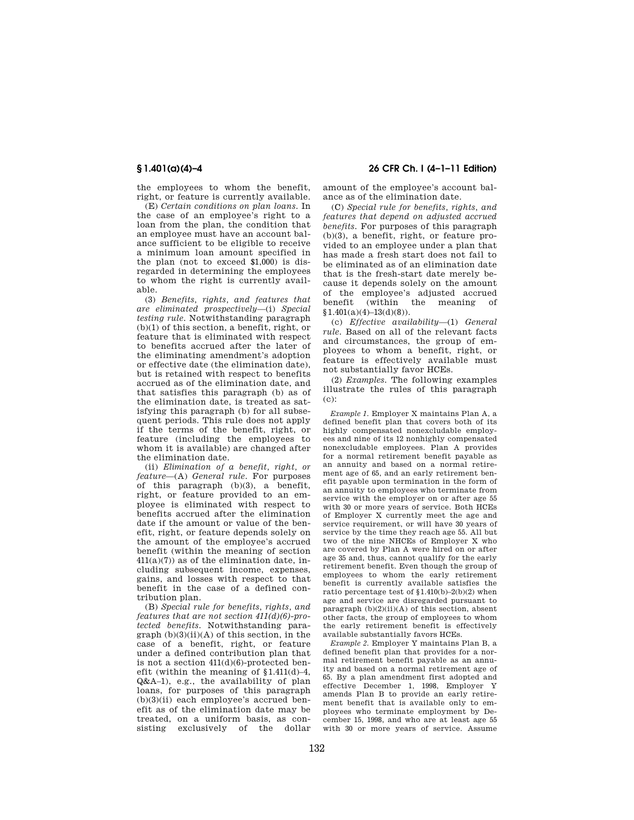the employees to whom the benefit, right, or feature is currently available.

(E) *Certain conditions on plan loans.* In the case of an employee's right to a loan from the plan, the condition that an employee must have an account balance sufficient to be eligible to receive a minimum loan amount specified in the plan (not to exceed \$1,000) is disregarded in determining the employees to whom the right is currently available.

(3) *Benefits, rights, and features that are eliminated prospectively*—(i) *Special testing rule.* Notwithstanding paragraph (b)(1) of this section, a benefit, right, or feature that is eliminated with respect to benefits accrued after the later of the eliminating amendment's adoption or effective date (the elimination date), but is retained with respect to benefits accrued as of the elimination date, and that satisfies this paragraph (b) as of the elimination date, is treated as satisfying this paragraph (b) for all subsequent periods. This rule does not apply if the terms of the benefit, right, or feature (including the employees to whom it is available) are changed after the elimination date.

(ii) *Elimination of a benefit, right, or feature*—(A) *General rule.* For purposes of this paragraph (b)(3), a benefit, right, or feature provided to an employee is eliminated with respect to benefits accrued after the elimination date if the amount or value of the benefit, right, or feature depends solely on the amount of the employee's accrued benefit (within the meaning of section  $411(a)(7)$  as of the elimination date, including subsequent income, expenses, gains, and losses with respect to that benefit in the case of a defined contribution plan.

(B) *Special rule for benefits, rights, and features that are not section 411(d)(6)-protected benefits.* Notwithstanding para $graph (b)(3)(ii)(A)$  of this section, in the case of a benefit, right, or feature under a defined contribution plan that is not a section 411(d)(6)-protected benefit (within the meaning of §1.411(d)–4, Q&A–1), e.g., the availability of plan loans, for purposes of this paragraph  $(b)(3)(ii)$  each employee's accrued benefit as of the elimination date may be treated, on a uniform basis, as consisting exclusively of the dollar

## **§ 1.401(a)(4)–4 26 CFR Ch. I (4–1–11 Edition)**

amount of the employee's account balance as of the elimination date.

(C) *Special rule for benefits, rights, and features that depend on adjusted accrued benefits.* For purposes of this paragraph (b)(3), a benefit, right, or feature provided to an employee under a plan that has made a fresh start does not fail to be eliminated as of an elimination date that is the fresh-start date merely because it depends solely on the amount of the employee's adjusted accrued benefit (within the meaning of  $§1.401(a)(4)-13(d)(8)$ .

(c) *Effective availability*—(1) *General rule.* Based on all of the relevant facts and circumstances, the group of employees to whom a benefit, right, or feature is effectively available must not substantially favor HCEs.

(2) *Examples.* The following examples illustrate the rules of this paragraph (c):

*Example 1.* Employer X maintains Plan A, a defined benefit plan that covers both of its highly compensated nonexcludable employees and nine of its 12 nonhighly compensated nonexcludable employees. Plan A provides for a normal retirement benefit payable as an annuity and based on a normal retirement age of 65, and an early retirement benefit payable upon termination in the form of an annuity to employees who terminate from service with the employer on or after age 55 with 30 or more years of service. Both HCEs of Employer X currently meet the age and service requirement, or will have 30 years of service by the time they reach age 55. All but two of the nine NHCEs of Employer X who are covered by Plan A were hired on or after age 35 and, thus, cannot qualify for the early retirement benefit. Even though the group of employees to whom the early retirement benefit is currently available satisfies the ratio percentage test of §1.410(b)–2(b)(2) when age and service are disregarded pursuant to paragraph  $(b)(2)(ii)(A)$  of this section, absent other facts, the group of employees to whom the early retirement benefit is effectively available substantially favors HCEs.

*Example 2.* Employer Y maintains Plan B, a defined benefit plan that provides for a normal retirement benefit payable as an annuity and based on a normal retirement age of 65. By a plan amendment first adopted and effective December 1, 1998, Employer Y amends Plan B to provide an early retirement benefit that is available only to employees who terminate employment by December 15, 1998, and who are at least age 55 with 30 or more years of service. Assume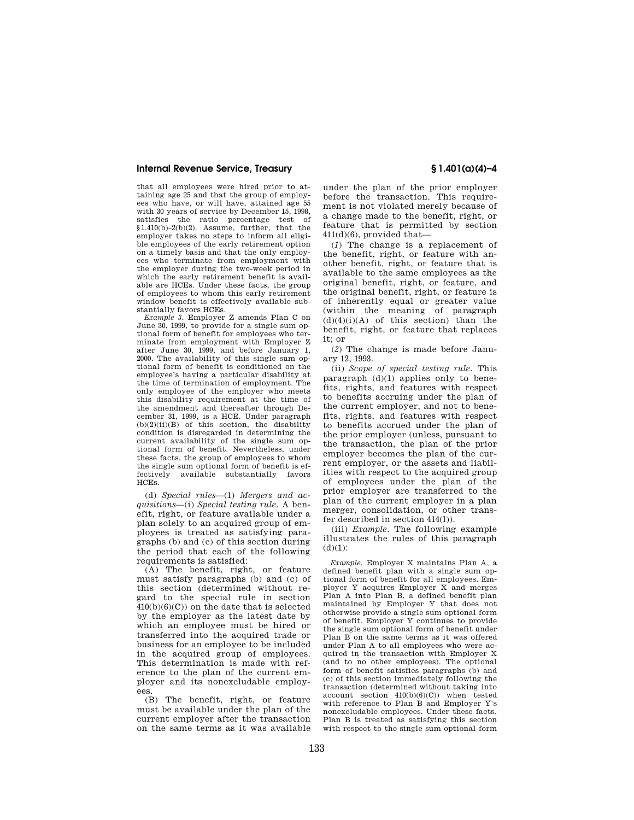that all employees were hired prior to attaining age 25 and that the group of employees who have, or will have, attained age 55 with 30 years of service by December 15, 1998, satisfies the ratio percentage test of §1.410(b)–2(b)(2). Assume, further, that the employer takes no steps to inform all eligible employees of the early retirement option on a timely basis and that the only employees who terminate from employment with the employer during the two-week period in which the early retirement benefit is available are HCEs. Under these facts, the group of employees to whom this early retirement window benefit is effectively available substantially favors HCEs.

*Example 3.* Employer Z amends Plan C on June 30, 1999, to provide for a single sum optional form of benefit for employees who terminate from employment with Employer Z after June 30, 1999, and before January 1, 2000. The availability of this single sum optional form of benefit is conditioned on the employee's having a particular disability at the time of termination of employment. The only employee of the employer who meets this disability requirement at the time of the amendment and thereafter through December 31, 1999, is a HCE. Under paragraph  $(b)(2)(ii)(B)$  of this section, the disability condition is disregarded in determining the current availability of the single sum optional form of benefit. Nevertheless, under these facts, the group of employees to whom the single sum optional form of benefit is effectively available substantially favors HCEs.

(d) *Special rules*—(1) *Mergers and acquisitions*—(i) *Special testing rule.* A benefit, right, or feature available under a plan solely to an acquired group of employees is treated as satisfying paragraphs (b) and (c) of this section during the period that each of the following requirements is satisfied:

(A) The benefit, right, or feature must satisfy paragraphs (b) and (c) of this section (determined without regard to the special rule in section  $410(b)(6)(C)$  on the date that is selected by the employer as the latest date by which an employee must be hired or transferred into the acquired trade or business for an employee to be included in the acquired group of employees. This determination is made with reference to the plan of the current employer and its nonexcludable employees.

(B) The benefit, right, or feature must be available under the plan of the current employer after the transaction on the same terms as it was available

under the plan of the prior employer before the transaction. This requirement is not violated merely because of a change made to the benefit, right, or feature that is permitted by section 411(d)(6), provided that—

(*1*) The change is a replacement of the benefit, right, or feature with another benefit, right, or feature that is available to the same employees as the original benefit, right, or feature, and the original benefit, right, or feature is of inherently equal or greater value (within the meaning of paragraph  $(d)(4)(i)(A)$  of this section) than the benefit, right, or feature that replaces it; or

(*2*) The change is made before January 12, 1993.

(ii) *Scope of special testing rule.* This paragraph (d)(1) applies only to benefits, rights, and features with respect to benefits accruing under the plan of the current employer, and not to benefits, rights, and features with respect to benefits accrued under the plan of the prior employer (unless, pursuant to the transaction, the plan of the prior employer becomes the plan of the current employer, or the assets and liabilities with respect to the acquired group of employees under the plan of the prior employer are transferred to the plan of the current employer in a plan merger, consolidation, or other transfer described in section 414(l)).

(iii) *Example.* The following example illustrates the rules of this paragraph  $(d)(1)$ :

*Example.* Employer X maintains Plan A, a defined benefit plan with a single sum optional form of benefit for all employees. Employer Y acquires Employer X and merges Plan A into Plan B, a defined benefit plan maintained by Employer Y that does not otherwise provide a single sum optional form of benefit. Employer Y continues to provide the single sum optional form of benefit under Plan B on the same terms as it was offered under Plan A to all employees who were acquired in the transaction with Employer X (and to no other employees). The optional form of benefit satisfies paragraphs (b) and (c) of this section immediately following the transaction (determined without taking into account section  $410(b)(6)(C)$  when tested with reference to Plan B and Employer Y's nonexcludable employees. Under these facts, Plan B is treated as satisfying this section with respect to the single sum optional form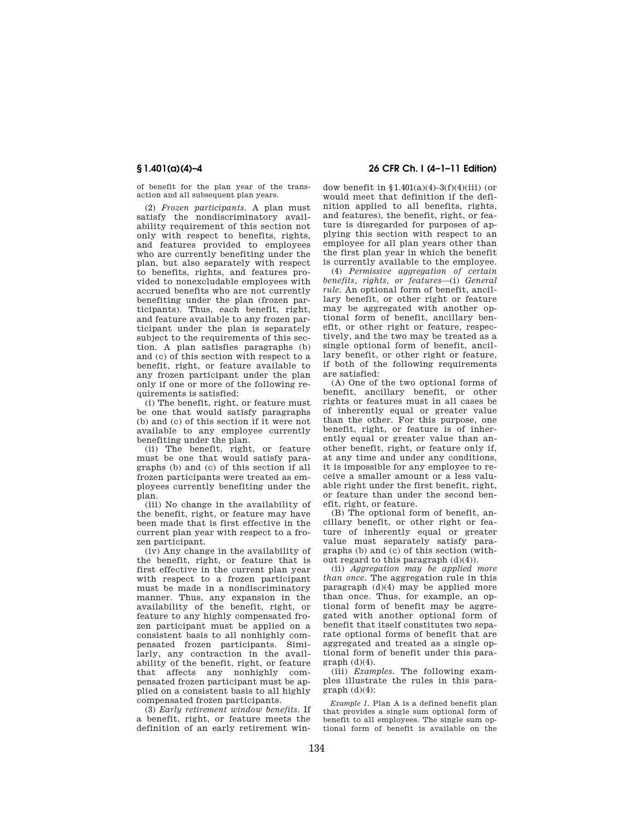of benefit for the plan year of the transaction and all subsequent plan years.

(2) *Frozen participants.* A plan must satisfy the nondiscriminatory availability requirement of this section not only with respect to benefits, rights, and features provided to employees who are currently benefiting under the plan, but also separately with respect to benefits, rights, and features provided to nonexcludable employees with accrued benefits who are not currently benefiting under the plan (frozen participants). Thus, each benefit, right, and feature available to any frozen participant under the plan is separately subject to the requirements of this section. A plan satisfies paragraphs (b) and (c) of this section with respect to a benefit, right, or feature available to any frozen participant under the plan only if one or more of the following requirements is satisfied:

(i) The benefit, right, or feature must be one that would satisfy paragraphs (b) and (c) of this section if it were not available to any employee currently benefiting under the plan.

(ii) The benefit, right, or feature must be one that would satisfy paragraphs (b) and (c) of this section if all frozen participants were treated as employees currently benefiting under the plan.

(iii) No change in the availability of the benefit, right, or feature may have been made that is first effective in the current plan year with respect to a frozen participant.

(iv) Any change in the availability of the benefit, right, or feature that is first effective in the current plan year with respect to a frozen participant must be made in a nondiscriminatory manner. Thus, any expansion in the availability of the benefit, right, or feature to any highly compensated frozen participant must be applied on a consistent basis to all nonhighly compensated frozen participants. Similarly, any contraction in the availability of the benefit, right, or feature that affects any nonhighly compensated frozen participant must be applied on a consistent basis to all highly compensated frozen participants.

(3) *Early retirement window benefits.* If a benefit, right, or feature meets the definition of an early retirement win-

**§ 1.401(a)(4)–4 26 CFR Ch. I (4–1–11 Edition)** 

dow benefit in  $$1.401(a)(4)-3(f)(4)(iii)$  (or would meet that definition if the definition applied to all benefits, rights, and features), the benefit, right, or feature is disregarded for purposes of applying this section with respect to an employee for all plan years other than the first plan year in which the benefit is currently available to the employee.

(4) *Permissive aggregation of certain benefits, rights, or features*—(i) *General rule.* An optional form of benefit, ancillary benefit, or other right or feature may be aggregated with another optional form of benefit, ancillary benefit, or other right or feature, respectively, and the two may be treated as a single optional form of benefit, ancillary benefit, or other right or feature, if both of the following requirements are satisfied:

(A) One of the two optional forms of benefit, ancillary benefit, or other rights or features must in all cases be of inherently equal or greater value than the other. For this purpose, one benefit, right, or feature is of inherently equal or greater value than another benefit, right, or feature only if, at any time and under any conditions, it is impossible for any employee to receive a smaller amount or a less valuable right under the first benefit, right, or feature than under the second benefit, right, or feature.

(B) The optional form of benefit, ancillary benefit, or other right or feature of inherently equal or greater value must separately satisfy paragraphs (b) and (c) of this section (without regard to this paragraph (d)(4)).

(ii) *Aggregation may be applied more than once.* The aggregation rule in this paragraph (d)(4) may be applied more than once. Thus, for example, an optional form of benefit may be aggregated with another optional form of benefit that itself constitutes two separate optional forms of benefit that are aggregated and treated as a single optional form of benefit under this para $graph (d)(4)$ .

(iii) *Examples.* The following examples illustrate the rules in this para $graph (d)(4)$ :

*Example 1.* Plan A is a defined benefit plan that provides a single sum optional form of benefit to all employees. The single sum optional form of benefit is available on the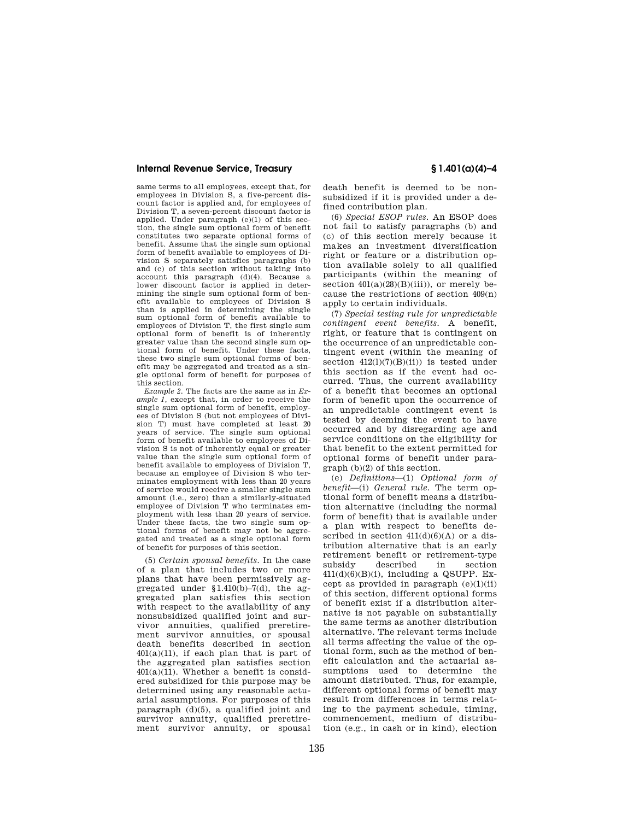same terms to all employees, except that, for employees in Division S, a five-percent discount factor is applied and, for employees of Division T, a seven-percent discount factor is applied. Under paragraph (e)(1) of this section, the single sum optional form of benefit constitutes two separate optional forms of benefit. Assume that the single sum optional form of benefit available to employees of Division S separately satisfies paragraphs (b) and (c) of this section without taking into account this paragraph (d)(4). Because a lower discount factor is applied in determining the single sum optional form of benefit available to employees of Division S than is applied in determining the single sum optional form of benefit available to employees of Division T, the first single sum optional form of benefit is of inherently greater value than the second single sum optional form of benefit. Under these facts, these two single sum optional forms of benefit may be aggregated and treated as a single optional form of benefit for purposes of this section.

*Example 2.* The facts are the same as in *Example 1,* except that, in order to receive the single sum optional form of benefit, employees of Division S (but not employees of Division T) must have completed at least 20 years of service. The single sum optional form of benefit available to employees of Division S is not of inherently equal or greater value than the single sum optional form of benefit available to employees of Division T, because an employee of Division S who terminates employment with less than 20 years of service would receive a smaller single sum amount (i.e., zero) than a similarly-situated employee of Division T who terminates employment with less than 20 years of service. Under these facts, the two single sum optional forms of benefit may not be aggregated and treated as a single optional form of benefit for purposes of this section.

(5) *Certain spousal benefits.* In the case of a plan that includes two or more plans that have been permissively aggregated under  $$1.410(b) - 7(d)$ , the aggregated plan satisfies this section with respect to the availability of any nonsubsidized qualified joint and survivor annuities, qualified preretirement survivor annuities, or spousal death benefits described in section  $401(a)(11)$ , if each plan that is part of the aggregated plan satisfies section  $401(a)(11)$ . Whether a benefit is considered subsidized for this purpose may be determined using any reasonable actuarial assumptions. For purposes of this paragraph (d)(5), a qualified joint and survivor annuity, qualified preretirement survivor annuity, or spousal

death benefit is deemed to be nonsubsidized if it is provided under a defined contribution plan.

(6) *Special ESOP rules.* An ESOP does not fail to satisfy paragraphs (b) and (c) of this section merely because it makes an investment diversification right or feature or a distribution option available solely to all qualified participants (within the meaning of section  $401(a)(28)(B)(iii)$ , or merely because the restrictions of section 409(n) apply to certain individuals.

(7) *Special testing rule for unpredictable contingent event benefits.* A benefit, right, or feature that is contingent on the occurrence of an unpredictable contingent event (within the meaning of section  $412(1)(7)(B)(ii)$  is tested under this section as if the event had occurred. Thus, the current availability of a benefit that becomes an optional form of benefit upon the occurrence of an unpredictable contingent event is tested by deeming the event to have occurred and by disregarding age and service conditions on the eligibility for that benefit to the extent permitted for optional forms of benefit under paragraph (b)(2) of this section.

(e) *Definitions*—(1) *Optional form of benefit*—(i) *General rule.* The term optional form of benefit means a distribution alternative (including the normal form of benefit) that is available under a plan with respect to benefits described in section  $411(d)(6)(A)$  or a distribution alternative that is an early retirement benefit or retirement-type subsidy described in section  $411(d)(6)(B)(i)$ , including a QSUPP. Except as provided in paragraph  $(e)(1)(ii)$ of this section, different optional forms of benefit exist if a distribution alternative is not payable on substantially the same terms as another distribution alternative. The relevant terms include all terms affecting the value of the optional form, such as the method of benefit calculation and the actuarial assumptions used to determine the amount distributed. Thus, for example, different optional forms of benefit may result from differences in terms relating to the payment schedule, timing, commencement, medium of distribution (e.g., in cash or in kind), election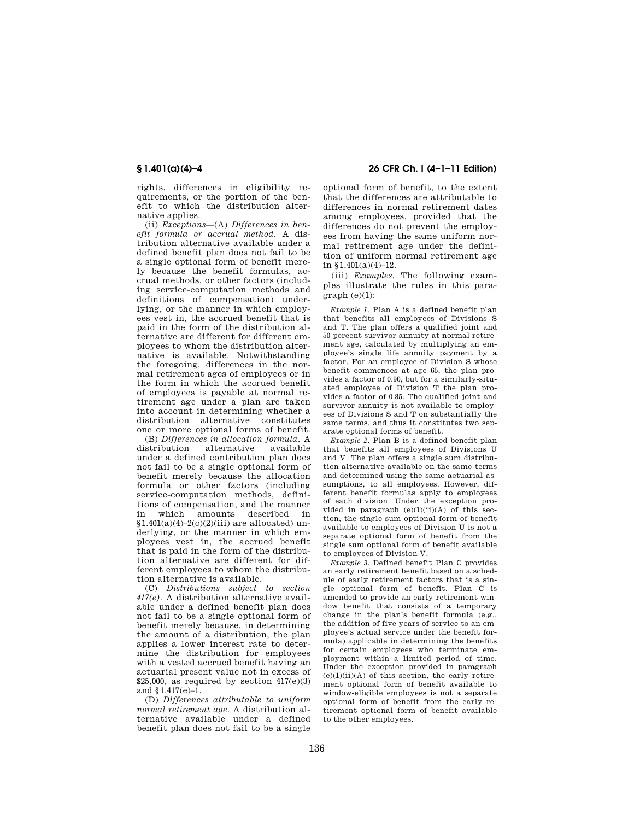rights, differences in eligibility requirements, or the portion of the benefit to which the distribution alternative applies.

(ii) *Exceptions*—(A) *Differences in benefit formula or accrual method.* A distribution alternative available under a defined benefit plan does not fail to be a single optional form of benefit merely because the benefit formulas, accrual methods, or other factors (including service-computation methods and definitions of compensation) underlying, or the manner in which employees vest in, the accrued benefit that is paid in the form of the distribution alternative are different for different employees to whom the distribution alternative is available. Notwithstanding the foregoing, differences in the normal retirement ages of employees or in the form in which the accrued benefit of employees is payable at normal retirement age under a plan are taken into account in determining whether a distribution alternative constitutes one or more optional forms of benefit.

(B) *Differences in allocation formula.* A distribution alternative under a defined contribution plan does not fail to be a single optional form of benefit merely because the allocation formula or other factors (including service-computation methods, definitions of compensation, and the manner in which amounts described in  $$1.401(a)(4)-2(c)(2)(iii)$  are allocated) underlying, or the manner in which employees vest in, the accrued benefit that is paid in the form of the distribution alternative are different for different employees to whom the distribution alternative is available.

(C) *Distributions subject to section 417(e).* A distribution alternative available under a defined benefit plan does not fail to be a single optional form of benefit merely because, in determining the amount of a distribution, the plan applies a lower interest rate to determine the distribution for employees with a vested accrued benefit having an actuarial present value not in excess of \$25,000, as required by section  $417(e)(3)$ and §1.417(e)–1.

(D) *Differences attributable to uniform normal retirement age.* A distribution alternative available under a defined benefit plan does not fail to be a single

# **§ 1.401(a)(4)–4 26 CFR Ch. I (4–1–11 Edition)**

optional form of benefit, to the extent that the differences are attributable to differences in normal retirement dates among employees, provided that the differences do not prevent the employees from having the same uniform normal retirement age under the definition of uniform normal retirement age in  $$1.401(a)(4)-12$ .

(iii) *Examples.* The following examples illustrate the rules in this paragraph (e)(1):

*Example 1.* Plan A is a defined benefit plan that benefits all employees of Divisions S and T. The plan offers a qualified joint and 50-percent survivor annuity at normal retirement age, calculated by multiplying an employee's single life annuity payment by a factor. For an employee of Division S whose benefit commences at age 65, the plan provides a factor of 0.90, but for a similarly-situated employee of Division T the plan provides a factor of 0.85. The qualified joint and survivor annuity is not available to employees of Divisions S and T on substantially the same terms, and thus it constitutes two separate optional forms of benefit.

*Example 2.* Plan B is a defined benefit plan that benefits all employees of Divisions U and V. The plan offers a single sum distribution alternative available on the same terms and determined using the same actuarial assumptions, to all employees. However, different benefit formulas apply to employees of each division. Under the exception provided in paragraph  $(e)(1)(ii)(A)$  of this section, the single sum optional form of benefit available to employees of Division U is not a separate optional form of benefit from the single sum optional form of benefit available to employees of Division V.

*Example 3.* Defined benefit Plan C provides an early retirement benefit based on a schedule of early retirement factors that is a single optional form of benefit. Plan C is amended to provide an early retirement window benefit that consists of a temporary change in the plan's benefit formula (e.g., the addition of five years of service to an employee's actual service under the benefit formula) applicable in determining the benefits for certain employees who terminate employment within a limited period of time. Under the exception provided in paragraph  $(e)(1)(ii)(A)$  of this section, the early retirement optional form of benefit available to window-eligible employees is not a separate optional form of benefit from the early retirement optional form of benefit available to the other employees.